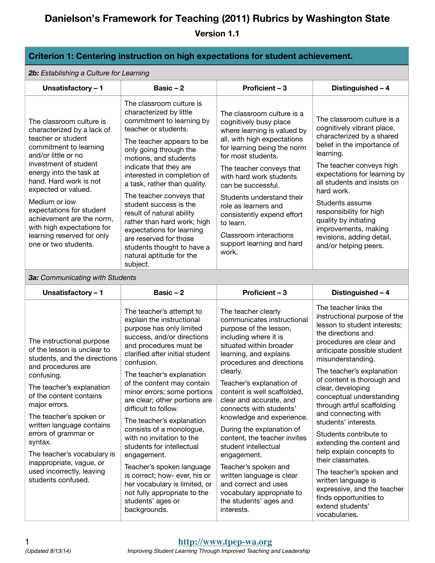#### **Criterion 1: Centering instruction on high expectations for student achievement.**

*2b: Establishing a Culture for Learning*

| Unsatisfactory - 1                                                                                                                                                                                                                                                                                                                                                                               | Basic $-2$                                                                                                                                                                                                                                                                                                                                                                                                                                                                                                                       | Proficient - 3                                                                                                                                                                                                                                                                                                                                                                                                       | Distinguished - 4                                                                                                                                                                                                                                                                                                                                                                               |
|--------------------------------------------------------------------------------------------------------------------------------------------------------------------------------------------------------------------------------------------------------------------------------------------------------------------------------------------------------------------------------------------------|----------------------------------------------------------------------------------------------------------------------------------------------------------------------------------------------------------------------------------------------------------------------------------------------------------------------------------------------------------------------------------------------------------------------------------------------------------------------------------------------------------------------------------|----------------------------------------------------------------------------------------------------------------------------------------------------------------------------------------------------------------------------------------------------------------------------------------------------------------------------------------------------------------------------------------------------------------------|-------------------------------------------------------------------------------------------------------------------------------------------------------------------------------------------------------------------------------------------------------------------------------------------------------------------------------------------------------------------------------------------------|
| The classroom culture is<br>characterized by a lack of<br>teacher or student<br>commitment to learning<br>and/or little or no<br>investment of student<br>energy into the task at<br>hand. Hard work is not<br>expected or valued.<br>Medium or low<br>expectations for student<br>achievement are the norm.<br>with high expectations for<br>learning reserved for only<br>one or two students. | The classroom culture is<br>characterized by little<br>commitment to learning by<br>teacher or students.<br>The teacher appears to be<br>only going through the<br>motions, and students<br>indicate that they are<br>interested in completion of<br>a task, rather than quality.<br>The teacher conveys that<br>student success is the<br>result of natural ability<br>rather than hard work; high<br>expectations for learning<br>are reserved for those<br>students thought to have a<br>natural aptitude for the<br>subject. | The classroom culture is a<br>cognitively busy place<br>where learning is valued by<br>all, with high expectations<br>for learning being the norm<br>for most students.<br>The teacher conveys that<br>with hard work students<br>can be successful.<br>Students understand their<br>role as learners and<br>consistently expend effort<br>to learn.<br>Classroom interactions<br>support learning and hard<br>work. | The classroom culture is a<br>cognitively vibrant place,<br>characterized by a shared<br>belief in the importance of<br>learning.<br>The teacher conveys high<br>expectations for learning by<br>all students and insists on<br>hard work.<br>Students assume<br>responsibility for high<br>quality by initiating<br>improvements, making<br>revisions, adding detail,<br>and/or helping peers. |

*3a: Communicating with Students*

| Unsatisfactory - 1                                                                                             | Basic $-2$                                                                                                                                                                                 | Proficient - 3                                                                                                                                                                         | Distinguished - 4                                                                                                                                                                           |
|----------------------------------------------------------------------------------------------------------------|--------------------------------------------------------------------------------------------------------------------------------------------------------------------------------------------|----------------------------------------------------------------------------------------------------------------------------------------------------------------------------------------|---------------------------------------------------------------------------------------------------------------------------------------------------------------------------------------------|
| The instructional purpose<br>of the lesson is unclear to<br>students, and the directions<br>and procedures are | The teacher's attempt to<br>explain the instructional<br>purpose has only limited<br>success, and/or directions<br>and procedures must be<br>clarified after initial student<br>confusion. | The teacher clearly<br>communicates instructional<br>purpose of the lesson,<br>including where it is<br>situated within broader<br>learning, and explains<br>procedures and directions | The teacher links the<br>instructional purpose of the<br>lesson to student interests;<br>the directions and<br>procedures are clear and<br>anticipate possible student<br>misunderstanding. |
| confusing.                                                                                                     | The teacher's explanation                                                                                                                                                                  | clearly.                                                                                                                                                                               | The teacher's explanation<br>of content is thorough and                                                                                                                                     |
| The teacher's explanation<br>of the content contains<br>major errors.                                          | of the content may contain<br>minor errors; some portions<br>are clear; other portions are<br>difficult to follow.                                                                         | Teacher's explanation of<br>content is well scaffolded,<br>clear and accurate, and<br>connects with students'                                                                          | clear, developing<br>conceptual understanding<br>through artful scaffolding                                                                                                                 |
| The teacher's spoken or<br>written language contains                                                           | The teacher's explanation                                                                                                                                                                  | knowledge and experience.                                                                                                                                                              | and connecting with<br>students' interests.                                                                                                                                                 |
| errors of grammar or<br>syntax.                                                                                | consists of a monologue,<br>with no invitation to the<br>students for intellectual                                                                                                         | During the explanation of<br>content, the teacher invites<br>student intellectual                                                                                                      | Students contribute to<br>extending the content and                                                                                                                                         |
| The teacher's vocabulary is<br>inappropriate, vague, or                                                        | engagement.                                                                                                                                                                                | engagement.                                                                                                                                                                            | help explain concepts to<br>their classmates.                                                                                                                                               |
| used incorrectly, leaving<br>students confused.                                                                | Teacher's spoken language<br>is correct; how- ever, his or<br>her vocabulary is limited, or<br>not fully appropriate to the<br>students' ages or<br>backgrounds.                           | Teacher's spoken and<br>written language is clear<br>and correct and uses<br>vocabulary appropriate to<br>the students' ages and<br>interests.                                         | The teacher's spoken and<br>written language is<br>expressive, and the teacher<br>finds opportunities to<br>extend students'<br>vocabularies.                                               |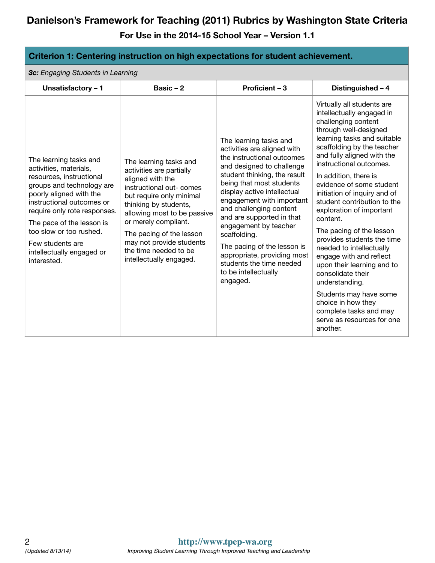| Criterion 1: Centering instruction on high expectations for student achievement.                                                                                                                                                                                                                                          |                                                                                                                                                                                                                                                                                                                            |                                                                                                                                                                                                                                                                                                                                                                                                                                                                         |                                                                                                                                                                                                                                                                                                                                                                                                                                                                                                                                                                                                                                                                                                     |
|---------------------------------------------------------------------------------------------------------------------------------------------------------------------------------------------------------------------------------------------------------------------------------------------------------------------------|----------------------------------------------------------------------------------------------------------------------------------------------------------------------------------------------------------------------------------------------------------------------------------------------------------------------------|-------------------------------------------------------------------------------------------------------------------------------------------------------------------------------------------------------------------------------------------------------------------------------------------------------------------------------------------------------------------------------------------------------------------------------------------------------------------------|-----------------------------------------------------------------------------------------------------------------------------------------------------------------------------------------------------------------------------------------------------------------------------------------------------------------------------------------------------------------------------------------------------------------------------------------------------------------------------------------------------------------------------------------------------------------------------------------------------------------------------------------------------------------------------------------------------|
| 3c: Engaging Students in Learning                                                                                                                                                                                                                                                                                         |                                                                                                                                                                                                                                                                                                                            |                                                                                                                                                                                                                                                                                                                                                                                                                                                                         |                                                                                                                                                                                                                                                                                                                                                                                                                                                                                                                                                                                                                                                                                                     |
| Unsatisfactory - 1                                                                                                                                                                                                                                                                                                        | Basic $-2$                                                                                                                                                                                                                                                                                                                 | Proficient - 3                                                                                                                                                                                                                                                                                                                                                                                                                                                          | Distinguished - 4                                                                                                                                                                                                                                                                                                                                                                                                                                                                                                                                                                                                                                                                                   |
| The learning tasks and<br>activities, materials,<br>resources, instructional<br>groups and technology are<br>poorly aligned with the<br>instructional outcomes or<br>require only rote responses.<br>The pace of the lesson is<br>too slow or too rushed.<br>Few students are<br>intellectually engaged or<br>interested. | The learning tasks and<br>activities are partially<br>aligned with the<br>instructional out- comes<br>but require only minimal<br>thinking by students,<br>allowing most to be passive<br>or merely compliant.<br>The pacing of the lesson<br>may not provide students<br>the time needed to be<br>intellectually engaged. | The learning tasks and<br>activities are aligned with<br>the instructional outcomes<br>and designed to challenge<br>student thinking, the result<br>being that most students<br>display active intellectual<br>engagement with important<br>and challenging content<br>and are supported in that<br>engagement by teacher<br>scaffolding.<br>The pacing of the lesson is<br>appropriate, providing most<br>students the time needed<br>to be intellectually<br>engaged. | Virtually all students are<br>intellectually engaged in<br>challenging content<br>through well-designed<br>learning tasks and suitable<br>scaffolding by the teacher<br>and fully aligned with the<br>instructional outcomes.<br>In addition, there is<br>evidence of some student<br>initiation of inquiry and of<br>student contribution to the<br>exploration of important<br>content.<br>The pacing of the lesson<br>provides students the time<br>needed to intellectually<br>engage with and reflect<br>upon their learning and to<br>consolidate their<br>understanding.<br>Students may have some<br>choice in how they<br>complete tasks and may<br>serve as resources for one<br>another. |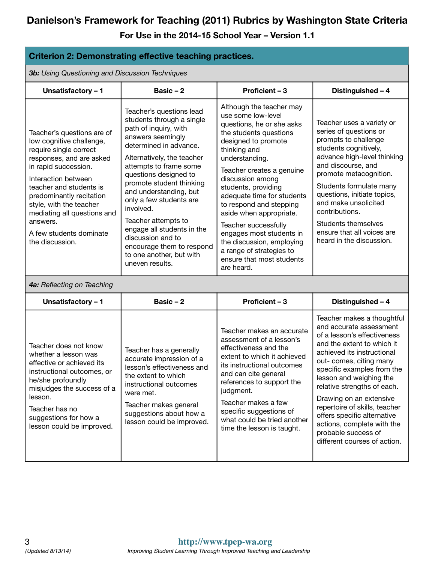| <b>Criterion 2: Demonstrating effective teaching practices.</b>                                                                                                                                                                                                                                                                        |                                                                                                                                                                                                                                                                                                                                                                                                                                                                    |                                                                                                                                                                                                                                                                                                                                                                                                                                                                                    |                                                                                                                                                                                                                                                                                                                                                                                                                                                     |  |  |
|----------------------------------------------------------------------------------------------------------------------------------------------------------------------------------------------------------------------------------------------------------------------------------------------------------------------------------------|--------------------------------------------------------------------------------------------------------------------------------------------------------------------------------------------------------------------------------------------------------------------------------------------------------------------------------------------------------------------------------------------------------------------------------------------------------------------|------------------------------------------------------------------------------------------------------------------------------------------------------------------------------------------------------------------------------------------------------------------------------------------------------------------------------------------------------------------------------------------------------------------------------------------------------------------------------------|-----------------------------------------------------------------------------------------------------------------------------------------------------------------------------------------------------------------------------------------------------------------------------------------------------------------------------------------------------------------------------------------------------------------------------------------------------|--|--|
|                                                                                                                                                                                                                                                                                                                                        | <b>3b:</b> Using Questioning and Discussion Techniques                                                                                                                                                                                                                                                                                                                                                                                                             |                                                                                                                                                                                                                                                                                                                                                                                                                                                                                    |                                                                                                                                                                                                                                                                                                                                                                                                                                                     |  |  |
| Unsatisfactory - 1                                                                                                                                                                                                                                                                                                                     | Basic $-2$                                                                                                                                                                                                                                                                                                                                                                                                                                                         | Proficient - 3                                                                                                                                                                                                                                                                                                                                                                                                                                                                     | Distinguished - 4                                                                                                                                                                                                                                                                                                                                                                                                                                   |  |  |
| Teacher's questions are of<br>low cognitive challenge,<br>require single correct<br>responses, and are asked<br>in rapid succession.<br>Interaction between<br>teacher and students is<br>predominantly recitation<br>style, with the teacher<br>mediating all questions and<br>answers.<br>A few students dominate<br>the discussion. | Teacher's questions lead<br>students through a single<br>path of inquiry, with<br>answers seemingly<br>determined in advance.<br>Alternatively, the teacher<br>attempts to frame some<br>questions designed to<br>promote student thinking<br>and understanding, but<br>only a few students are<br>involved.<br>Teacher attempts to<br>engage all students in the<br>discussion and to<br>encourage them to respond<br>to one another, but with<br>uneven results. | Although the teacher may<br>use some low-level<br>questions, he or she asks<br>the students questions<br>designed to promote<br>thinking and<br>understanding.<br>Teacher creates a genuine<br>discussion among<br>students, providing<br>adequate time for students<br>to respond and stepping<br>aside when appropriate.<br>Teacher successfully<br>engages most students in<br>the discussion, employing<br>a range of strategies to<br>ensure that most students<br>are heard. | Teacher uses a variety or<br>series of questions or<br>prompts to challenge<br>students cognitively,<br>advance high-level thinking<br>and discourse, and<br>promote metacognition.<br>Students formulate many<br>questions, initiate topics,<br>and make unsolicited<br>contributions.<br><b>Students themselves</b><br>ensure that all voices are<br>heard in the discussion.                                                                     |  |  |
| 4a: Reflecting on Teaching                                                                                                                                                                                                                                                                                                             |                                                                                                                                                                                                                                                                                                                                                                                                                                                                    |                                                                                                                                                                                                                                                                                                                                                                                                                                                                                    |                                                                                                                                                                                                                                                                                                                                                                                                                                                     |  |  |
| Unsatisfactory - 1                                                                                                                                                                                                                                                                                                                     | Basic $-2$                                                                                                                                                                                                                                                                                                                                                                                                                                                         | Proficient - 3                                                                                                                                                                                                                                                                                                                                                                                                                                                                     | Distinguished - 4                                                                                                                                                                                                                                                                                                                                                                                                                                   |  |  |
| Teacher does not know<br>whether a lesson was<br>effective or achieved its<br>instructional outcomes, or<br>he/she profoundly<br>misjudges the success of a<br>lesson.<br>Teacher has no<br>suggestions for how a<br>lesson could be improved.                                                                                         | Teacher has a generally<br>accurate impression of a<br>lesson's effectiveness and<br>the extent to which<br>instructional outcomes<br>were met.<br>Teacher makes general<br>suggestions about how a<br>lesson could be improved.                                                                                                                                                                                                                                   | Teacher makes an accurate<br>assessment of a lesson's<br>effectiveness and the<br>extent to which it achieved<br>its instructional outcomes<br>and can cite general<br>references to support the<br>judgment.<br>Teacher makes a few<br>specific suggestions of<br>what could be tried another<br>time the lesson is taught.                                                                                                                                                       | Teacher makes a thoughtful<br>and accurate assessment<br>of a lesson's effectiveness<br>and the extent to which it<br>achieved its instructional<br>out- comes, citing many<br>specific examples from the<br>lesson and weighing the<br>relative strengths of each.<br>Drawing on an extensive<br>repertoire of skills, teacher<br>offers specific alternative<br>actions, complete with the<br>probable success of<br>different courses of action. |  |  |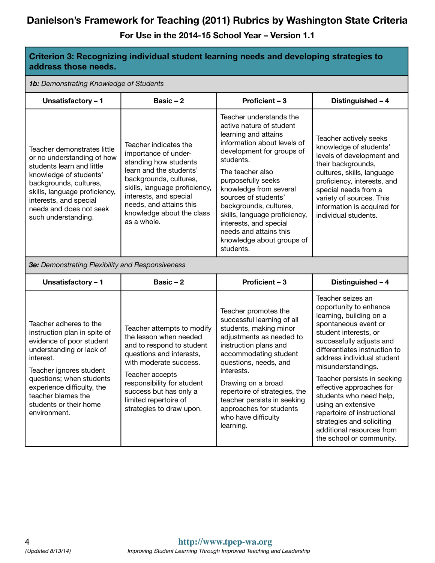| address those needs.                                                                                                                                                                                                                                                             | Criterion 3: Recognizing individual student learning needs and developing strategies to                                                                                                                                                                                 |                                                                                                                                                                                                                                                                                                                                                                                                           |                                                                                                                                                                                                                                                                                                                                                                                                                                                                           |
|----------------------------------------------------------------------------------------------------------------------------------------------------------------------------------------------------------------------------------------------------------------------------------|-------------------------------------------------------------------------------------------------------------------------------------------------------------------------------------------------------------------------------------------------------------------------|-----------------------------------------------------------------------------------------------------------------------------------------------------------------------------------------------------------------------------------------------------------------------------------------------------------------------------------------------------------------------------------------------------------|---------------------------------------------------------------------------------------------------------------------------------------------------------------------------------------------------------------------------------------------------------------------------------------------------------------------------------------------------------------------------------------------------------------------------------------------------------------------------|
| 1b: Demonstrating Knowledge of Students                                                                                                                                                                                                                                          |                                                                                                                                                                                                                                                                         |                                                                                                                                                                                                                                                                                                                                                                                                           |                                                                                                                                                                                                                                                                                                                                                                                                                                                                           |
| Unsatisfactory - 1                                                                                                                                                                                                                                                               | Basic $-2$                                                                                                                                                                                                                                                              | Proficient - 3                                                                                                                                                                                                                                                                                                                                                                                            | Distinguished - 4                                                                                                                                                                                                                                                                                                                                                                                                                                                         |
| Teacher demonstrates little<br>or no understanding of how<br>students learn and little<br>knowledge of students'<br>backgrounds, cultures,<br>skills, language proficiency,<br>interests, and special<br>needs and does not seek<br>such understanding.                          | Teacher indicates the<br>importance of under-<br>standing how students<br>learn and the students'<br>backgrounds, cultures,<br>skills, language proficiency,<br>interests, and special<br>needs, and attains this<br>knowledge about the class<br>as a whole.           | Teacher understands the<br>active nature of student<br>learning and attains<br>information about levels of<br>development for groups of<br>students.<br>The teacher also<br>purposefully seeks<br>knowledge from several<br>sources of students'<br>backgrounds, cultures,<br>skills, language proficiency,<br>interests, and special<br>needs and attains this<br>knowledge about groups of<br>students. | Teacher actively seeks<br>knowledge of students'<br>levels of development and<br>their backgrounds,<br>cultures, skills, language<br>proficiency, interests, and<br>special needs from a<br>variety of sources. This<br>information is acquired for<br>individual students.                                                                                                                                                                                               |
| <b>3e:</b> Demonstrating Flexibility and Responsiveness                                                                                                                                                                                                                          |                                                                                                                                                                                                                                                                         |                                                                                                                                                                                                                                                                                                                                                                                                           |                                                                                                                                                                                                                                                                                                                                                                                                                                                                           |
| Unsatisfactory - 1                                                                                                                                                                                                                                                               | Basic $-2$                                                                                                                                                                                                                                                              | Proficient - 3                                                                                                                                                                                                                                                                                                                                                                                            | Distinguished - 4                                                                                                                                                                                                                                                                                                                                                                                                                                                         |
| Teacher adheres to the<br>instruction plan in spite of<br>evidence of poor student<br>understanding or lack of<br>interest.<br>Teacher ignores student<br>questions; when students<br>experience difficulty, the<br>teacher blames the<br>students or their home<br>environment. | Teacher attempts to modify<br>the lesson when needed<br>and to respond to student<br>questions and interests,<br>with moderate success.<br>Teacher accepts<br>responsibility for student<br>success but has only a<br>limited repertoire of<br>strategies to draw upon. | Teacher promotes the<br>successful learning of all<br>students, making minor<br>adjustments as needed to<br>instruction plans and<br>accommodating student<br>questions, needs, and<br>interests.<br>Drawing on a broad<br>repertoire of strategies, the<br>teacher persists in seeking<br>approaches for students<br>who have difficulty<br>learning.                                                    | Teacher seizes an<br>opportunity to enhance<br>learning, building on a<br>spontaneous event or<br>student interests, or<br>successfully adjusts and<br>differentiates instruction to<br>address individual student<br>misunderstandings.<br>Teacher persists in seeking<br>effective approaches for<br>students who need help,<br>using an extensive<br>repertoire of instructional<br>strategies and soliciting<br>additional resources from<br>the school or community. |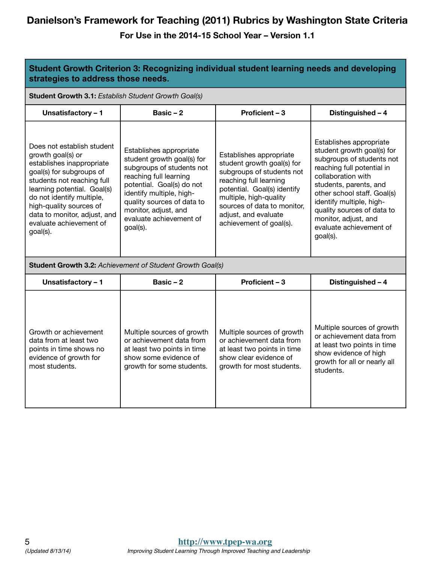| Student Growth Criterion 3: Recognizing individual student learning needs and developing<br>strategies to address those needs.                                                                                                                                                                       |                                                                                                                                                                                                                                                                    |                                                                                                                                                                                                                                                         |                                                                                                                                                                                                                                                                                                                          |  |
|------------------------------------------------------------------------------------------------------------------------------------------------------------------------------------------------------------------------------------------------------------------------------------------------------|--------------------------------------------------------------------------------------------------------------------------------------------------------------------------------------------------------------------------------------------------------------------|---------------------------------------------------------------------------------------------------------------------------------------------------------------------------------------------------------------------------------------------------------|--------------------------------------------------------------------------------------------------------------------------------------------------------------------------------------------------------------------------------------------------------------------------------------------------------------------------|--|
| Student Growth 3.1: Establish Student Growth Goal(s)                                                                                                                                                                                                                                                 |                                                                                                                                                                                                                                                                    |                                                                                                                                                                                                                                                         |                                                                                                                                                                                                                                                                                                                          |  |
| Unsatisfactory - 1                                                                                                                                                                                                                                                                                   | Basic $-2$                                                                                                                                                                                                                                                         | Proficient - 3                                                                                                                                                                                                                                          | Distinguished - 4                                                                                                                                                                                                                                                                                                        |  |
| Does not establish student<br>growth goal(s) or<br>establishes inappropriate<br>goal(s) for subgroups of<br>students not reaching full<br>learning potential. Goal(s)<br>do not identify multiple,<br>high-quality sources of<br>data to monitor, adjust, and<br>evaluate achievement of<br>goal(s). | Establishes appropriate<br>student growth goal(s) for<br>subgroups of students not<br>reaching full learning<br>potential. Goal(s) do not<br>identify multiple, high-<br>quality sources of data to<br>monitor, adjust, and<br>evaluate achievement of<br>goal(s). | Establishes appropriate<br>student growth goal(s) for<br>subgroups of students not<br>reaching full learning<br>potential. Goal(s) identify<br>multiple, high-quality<br>sources of data to monitor,<br>adjust, and evaluate<br>achievement of goal(s). | Establishes appropriate<br>student growth goal(s) for<br>subgroups of students not<br>reaching full potential in<br>collaboration with<br>students, parents, and<br>other school staff. Goal(s)<br>identify multiple, high-<br>quality sources of data to<br>monitor, adjust, and<br>evaluate achievement of<br>goal(s). |  |
|                                                                                                                                                                                                                                                                                                      | Student Growth 3.2: Achievement of Student Growth Goal(s)                                                                                                                                                                                                          |                                                                                                                                                                                                                                                         |                                                                                                                                                                                                                                                                                                                          |  |
| Unsatisfactory - 1                                                                                                                                                                                                                                                                                   | Basic $-2$                                                                                                                                                                                                                                                         | Proficient - 3                                                                                                                                                                                                                                          | Distinguished - 4                                                                                                                                                                                                                                                                                                        |  |
| Growth or achievement<br>data from at least two<br>points in time shows no<br>evidence of growth for<br>most students.                                                                                                                                                                               | Multiple sources of growth<br>or achievement data from<br>at least two points in time<br>show some evidence of<br>growth for some students.                                                                                                                        | Multiple sources of growth<br>or achievement data from<br>at least two points in time<br>show clear evidence of<br>growth for most students.                                                                                                            | Multiple sources of growth<br>or achievement data from<br>at least two points in time<br>show evidence of high<br>growth for all or nearly all<br>students.                                                                                                                                                              |  |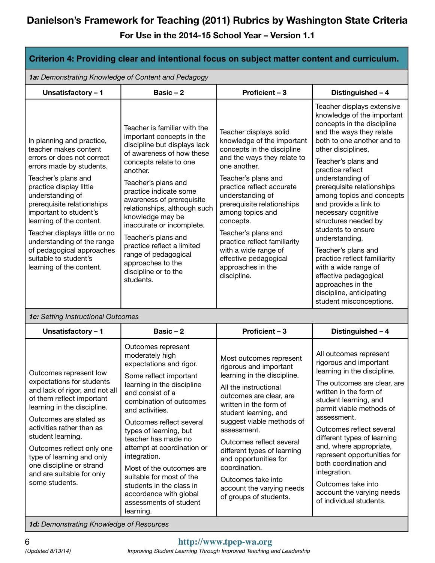**For Use in the 2014-15 School Year – Version 1.1** 

| Criterion 4: Providing clear and intentional focus on subject matter content and curriculum.                                                                                                                                                                                                                                                                                                                            |                                                                                                                                                                                                                                                                                                                                                                                                                                                                            |                                                                                                                                                                                                                                                                                                                                                                                                                       |                                                                                                                                                                                                                                                                                                                                                                                                                                                                                                                                                                                                      |  |  |
|-------------------------------------------------------------------------------------------------------------------------------------------------------------------------------------------------------------------------------------------------------------------------------------------------------------------------------------------------------------------------------------------------------------------------|----------------------------------------------------------------------------------------------------------------------------------------------------------------------------------------------------------------------------------------------------------------------------------------------------------------------------------------------------------------------------------------------------------------------------------------------------------------------------|-----------------------------------------------------------------------------------------------------------------------------------------------------------------------------------------------------------------------------------------------------------------------------------------------------------------------------------------------------------------------------------------------------------------------|------------------------------------------------------------------------------------------------------------------------------------------------------------------------------------------------------------------------------------------------------------------------------------------------------------------------------------------------------------------------------------------------------------------------------------------------------------------------------------------------------------------------------------------------------------------------------------------------------|--|--|
|                                                                                                                                                                                                                                                                                                                                                                                                                         | 1a: Demonstrating Knowledge of Content and Pedagogy                                                                                                                                                                                                                                                                                                                                                                                                                        |                                                                                                                                                                                                                                                                                                                                                                                                                       |                                                                                                                                                                                                                                                                                                                                                                                                                                                                                                                                                                                                      |  |  |
| Unsatisfactory - 1                                                                                                                                                                                                                                                                                                                                                                                                      | Basic $-2$                                                                                                                                                                                                                                                                                                                                                                                                                                                                 | Proficient - 3                                                                                                                                                                                                                                                                                                                                                                                                        | Distinguished - 4                                                                                                                                                                                                                                                                                                                                                                                                                                                                                                                                                                                    |  |  |
| In planning and practice,<br>teacher makes content<br>errors or does not correct<br>errors made by students.<br>Teacher's plans and<br>practice display little<br>understanding of<br>prerequisite relationships<br>important to student's<br>learning of the content.<br>Teacher displays little or no<br>understanding of the range<br>of pedagogical approaches<br>suitable to student's<br>learning of the content. | Teacher is familiar with the<br>important concepts in the<br>discipline but displays lack<br>of awareness of how these<br>concepts relate to one<br>another.<br>Teacher's plans and<br>practice indicate some<br>awareness of prerequisite<br>relationships, although such<br>knowledge may be<br>inaccurate or incomplete.<br>Teacher's plans and<br>practice reflect a limited<br>range of pedagogical<br>approaches to the<br>discipline or to the<br>students.         | Teacher displays solid<br>knowledge of the important<br>concepts in the discipline<br>and the ways they relate to<br>one another.<br>Teacher's plans and<br>practice reflect accurate<br>understanding of<br>prerequisite relationships<br>among topics and<br>concepts.<br>Teacher's plans and<br>practice reflect familiarity<br>with a wide range of<br>effective pedagogical<br>approaches in the<br>discipline.  | Teacher displays extensive<br>knowledge of the important<br>concepts in the discipline<br>and the ways they relate<br>both to one another and to<br>other disciplines.<br>Teacher's plans and<br>practice reflect<br>understanding of<br>prerequisite relationships<br>among topics and concepts<br>and provide a link to<br>necessary cognitive<br>structures needed by<br>students to ensure<br>understanding.<br>Teacher's plans and<br>practice reflect familiarity<br>with a wide range of<br>effective pedagogical<br>approaches in the<br>discipline, anticipating<br>student misconceptions. |  |  |
| 1c: Setting Instructional Outcomes                                                                                                                                                                                                                                                                                                                                                                                      |                                                                                                                                                                                                                                                                                                                                                                                                                                                                            |                                                                                                                                                                                                                                                                                                                                                                                                                       |                                                                                                                                                                                                                                                                                                                                                                                                                                                                                                                                                                                                      |  |  |
| Unsatisfactory - 1                                                                                                                                                                                                                                                                                                                                                                                                      | Basic $-2$                                                                                                                                                                                                                                                                                                                                                                                                                                                                 | Proficient - 3                                                                                                                                                                                                                                                                                                                                                                                                        | Distinguished - 4                                                                                                                                                                                                                                                                                                                                                                                                                                                                                                                                                                                    |  |  |
| Outcomes represent low<br>expectations for students<br>and lack of rigor, and not all<br>of them reflect important<br>learning in the discipline.<br>Outcomes are stated as<br>activities rather than as<br>student learning.<br>Outcomes reflect only one<br>type of learning and only<br>one discipline or strand<br>and are suitable for only<br>some students.                                                      | Outcomes represent<br>moderately high<br>expectations and rigor.<br>Some reflect important<br>learning in the discipline<br>and consist of a<br>combination of outcomes<br>and activities.<br>Outcomes reflect several<br>types of learning, but<br>teacher has made no<br>attempt at coordination or<br>integration.<br>Most of the outcomes are<br>suitable for most of the<br>students in the class in<br>accordance with global<br>assessments of student<br>learning. | Most outcomes represent<br>rigorous and important<br>learning in the discipline.<br>All the instructional<br>outcomes are clear, are<br>written in the form of<br>student learning, and<br>suggest viable methods of<br>assessment.<br>Outcomes reflect several<br>different types of learning<br>and opportunities for<br>coordination.<br>Outcomes take into<br>account the varying needs<br>of groups of students. | All outcomes represent<br>rigorous and important<br>learning in the discipline.<br>The outcomes are clear, are<br>written in the form of<br>student learning, and<br>permit viable methods of<br>assessment.<br>Outcomes reflect several<br>different types of learning<br>and, where appropriate,<br>represent opportunities for<br>both coordination and<br>integration.<br>Outcomes take into<br>account the varying needs<br>of individual students.                                                                                                                                             |  |  |

*1d: Demonstrating Knowledge of Resources*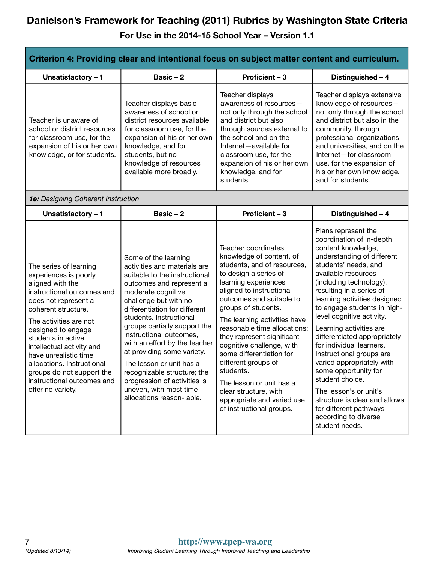| Criterion 4: Providing clear and intentional focus on subject matter content and curriculum.                                                                                                                                                                                                                                                                                               |                                                                                                                                                                                                                                                                                                                                                                                                                                                                                                          |                                                                                                                                                                                                                                                                                                                                                                                                                                                                                                                          |                                                                                                                                                                                                                                                                                                                                                                                                                                                                                                                                                                                                                                 |
|--------------------------------------------------------------------------------------------------------------------------------------------------------------------------------------------------------------------------------------------------------------------------------------------------------------------------------------------------------------------------------------------|----------------------------------------------------------------------------------------------------------------------------------------------------------------------------------------------------------------------------------------------------------------------------------------------------------------------------------------------------------------------------------------------------------------------------------------------------------------------------------------------------------|--------------------------------------------------------------------------------------------------------------------------------------------------------------------------------------------------------------------------------------------------------------------------------------------------------------------------------------------------------------------------------------------------------------------------------------------------------------------------------------------------------------------------|---------------------------------------------------------------------------------------------------------------------------------------------------------------------------------------------------------------------------------------------------------------------------------------------------------------------------------------------------------------------------------------------------------------------------------------------------------------------------------------------------------------------------------------------------------------------------------------------------------------------------------|
| Unsatisfactory - 1                                                                                                                                                                                                                                                                                                                                                                         | Basic $-2$                                                                                                                                                                                                                                                                                                                                                                                                                                                                                               | Proficient - 3                                                                                                                                                                                                                                                                                                                                                                                                                                                                                                           | Distinguished - 4                                                                                                                                                                                                                                                                                                                                                                                                                                                                                                                                                                                                               |
| Teacher is unaware of<br>school or district resources<br>for classroom use, for the<br>expansion of his or her own<br>knowledge, or for students.                                                                                                                                                                                                                                          | Teacher displays basic<br>awareness of school or<br>district resources available<br>for classroom use, for the<br>expansion of his or her own<br>knowledge, and for<br>students, but no<br>knowledge of resources<br>available more broadly.                                                                                                                                                                                                                                                             | Teacher displays<br>awareness of resources-<br>not only through the school<br>and district but also<br>through sources external to<br>the school and on the<br>Internet-available for<br>classroom use, for the<br>expansion of his or her own<br>knowledge, and for<br>students.                                                                                                                                                                                                                                        | Teacher displays extensive<br>knowledge of resources-<br>not only through the school<br>and district but also in the<br>community, through<br>professional organizations<br>and universities, and on the<br>Internet-for classroom<br>use, for the expansion of<br>his or her own knowledge,<br>and for students.                                                                                                                                                                                                                                                                                                               |
| 1e: Designing Coherent Instruction                                                                                                                                                                                                                                                                                                                                                         |                                                                                                                                                                                                                                                                                                                                                                                                                                                                                                          |                                                                                                                                                                                                                                                                                                                                                                                                                                                                                                                          |                                                                                                                                                                                                                                                                                                                                                                                                                                                                                                                                                                                                                                 |
| Unsatisfactory - 1                                                                                                                                                                                                                                                                                                                                                                         | Basic $-2$                                                                                                                                                                                                                                                                                                                                                                                                                                                                                               | Proficient - 3                                                                                                                                                                                                                                                                                                                                                                                                                                                                                                           | Distinguished - 4                                                                                                                                                                                                                                                                                                                                                                                                                                                                                                                                                                                                               |
| The series of learning<br>experiences is poorly<br>aligned with the<br>instructional outcomes and<br>does not represent a<br>coherent structure.<br>The activities are not<br>designed to engage<br>students in active<br>intellectual activity and<br>have unrealistic time<br>allocations. Instructional<br>groups do not support the<br>instructional outcomes and<br>offer no variety. | Some of the learning<br>activities and materials are<br>suitable to the instructional<br>outcomes and represent a<br>moderate cognitive<br>challenge but with no<br>differentiation for different<br>students. Instructional<br>groups partially support the<br>instructional outcomes,<br>with an effort by the teacher<br>at providing some variety.<br>The lesson or unit has a<br>recognizable structure; the<br>progression of activities is<br>uneven, with most time<br>allocations reason- able. | Teacher coordinates<br>knowledge of content, of<br>students, and of resources,<br>to design a series of<br>learning experiences<br>aligned to instructional<br>outcomes and suitable to<br>groups of students.<br>The learning activities have<br>reasonable time allocations;<br>they represent significant<br>cognitive challenge, with<br>some differentiation for<br>different groups of<br>students.<br>The lesson or unit has a<br>clear structure, with<br>appropriate and varied use<br>of instructional groups. | Plans represent the<br>coordination of in-depth<br>content knowledge,<br>understanding of different<br>students' needs, and<br>available resources<br>(including technology),<br>resulting in a series of<br>learning activities designed<br>to engage students in high-<br>level cognitive activity.<br>Learning activities are<br>differentiated appropriately<br>for individual learners.<br>Instructional groups are<br>varied appropriately with<br>some opportunity for<br>student choice.<br>The lesson's or unit's<br>structure is clear and allows<br>for different pathways<br>according to diverse<br>student needs. |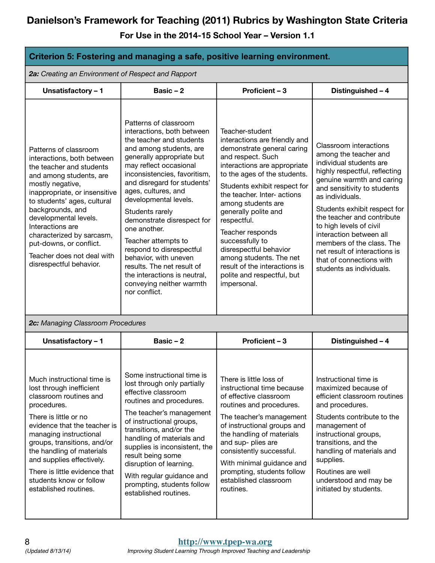| Criterion 5: Fostering and managing a safe, positive learning environment.                                                                                                                                                                                                                                                                                                       |                                                                                                                                                                                                                                                                                                                                                                                                                                                                                                                                          |                                                                                                                                                                                                                                                                                                                                                                                                                                                                           |                                                                                                                                                                                                                                                                                                                                                                                                                                      |  |
|----------------------------------------------------------------------------------------------------------------------------------------------------------------------------------------------------------------------------------------------------------------------------------------------------------------------------------------------------------------------------------|------------------------------------------------------------------------------------------------------------------------------------------------------------------------------------------------------------------------------------------------------------------------------------------------------------------------------------------------------------------------------------------------------------------------------------------------------------------------------------------------------------------------------------------|---------------------------------------------------------------------------------------------------------------------------------------------------------------------------------------------------------------------------------------------------------------------------------------------------------------------------------------------------------------------------------------------------------------------------------------------------------------------------|--------------------------------------------------------------------------------------------------------------------------------------------------------------------------------------------------------------------------------------------------------------------------------------------------------------------------------------------------------------------------------------------------------------------------------------|--|
| 2a: Creating an Environment of Respect and Rapport                                                                                                                                                                                                                                                                                                                               |                                                                                                                                                                                                                                                                                                                                                                                                                                                                                                                                          |                                                                                                                                                                                                                                                                                                                                                                                                                                                                           |                                                                                                                                                                                                                                                                                                                                                                                                                                      |  |
| Unsatisfactory - 1                                                                                                                                                                                                                                                                                                                                                               | Basic $-2$                                                                                                                                                                                                                                                                                                                                                                                                                                                                                                                               | Proficient - 3                                                                                                                                                                                                                                                                                                                                                                                                                                                            | Distinguished - 4                                                                                                                                                                                                                                                                                                                                                                                                                    |  |
| Patterns of classroom<br>interactions, both between<br>the teacher and students<br>and among students, are<br>mostly negative,<br>inappropriate, or insensitive<br>to students' ages, cultural<br>backgrounds, and<br>developmental levels.<br>Interactions are<br>characterized by sarcasm,<br>put-downs, or conflict.<br>Teacher does not deal with<br>disrespectful behavior. | Patterns of classroom<br>interactions, both between<br>the teacher and students<br>and among students, are<br>generally appropriate but<br>may reflect occasional<br>inconsistencies, favoritism,<br>and disregard for students'<br>ages, cultures, and<br>developmental levels.<br>Students rarely<br>demonstrate disrespect for<br>one another.<br>Teacher attempts to<br>respond to disrespectful<br>behavior, with uneven<br>results. The net result of<br>the interactions is neutral,<br>conveying neither warmth<br>nor conflict. | Teacher-student<br>interactions are friendly and<br>demonstrate general caring<br>and respect. Such<br>interactions are appropriate<br>to the ages of the students.<br>Students exhibit respect for<br>the teacher. Inter- actions<br>among students are<br>generally polite and<br>respectful.<br>Teacher responds<br>successfully to<br>disrespectful behavior<br>among students. The net<br>result of the interactions is<br>polite and respectful, but<br>impersonal. | Classroom interactions<br>among the teacher and<br>individual students are<br>highly respectful, reflecting<br>genuine warmth and caring<br>and sensitivity to students<br>as individuals.<br>Students exhibit respect for<br>the teacher and contribute<br>to high levels of civil<br>interaction between all<br>members of the class. The<br>net result of interactions is<br>that of connections with<br>students as individuals. |  |
| 2c: Managing Classroom Procedures                                                                                                                                                                                                                                                                                                                                                |                                                                                                                                                                                                                                                                                                                                                                                                                                                                                                                                          |                                                                                                                                                                                                                                                                                                                                                                                                                                                                           |                                                                                                                                                                                                                                                                                                                                                                                                                                      |  |
| Unsatisfactory - 1                                                                                                                                                                                                                                                                                                                                                               | Basic $-2$                                                                                                                                                                                                                                                                                                                                                                                                                                                                                                                               | Proficient - 3                                                                                                                                                                                                                                                                                                                                                                                                                                                            | Distinguished - 4                                                                                                                                                                                                                                                                                                                                                                                                                    |  |
| Much instructional time is<br>lost through inefficient<br>classroom routines and<br>procedures.<br>There is little or no<br>evidence that the teacher is<br>managing instructional<br>groups, transitions, and/or<br>the handling of materials<br>and supplies effectively.<br>There is little evidence that<br>students know or follow<br>established routines.                 | Some instructional time is<br>lost through only partially<br>effective classroom<br>routines and procedures.<br>The teacher's management<br>of instructional groups,<br>transitions, and/or the<br>handling of materials and<br>supplies is inconsistent, the<br>result being some<br>disruption of learning.<br>With regular guidance and<br>prompting, students follow<br>established routines.                                                                                                                                        | There is little loss of<br>instructional time because<br>of effective classroom<br>routines and procedures.<br>The teacher's management<br>of instructional groups and<br>the handling of materials<br>and sup- plies are<br>consistently successful.<br>With minimal guidance and<br>prompting, students follow<br>established classroom<br>routines.                                                                                                                    | Instructional time is<br>maximized because of<br>efficient classroom routines<br>and procedures.<br>Students contribute to the<br>management of<br>instructional groups,<br>transitions, and the<br>handling of materials and<br>supplies.<br>Routines are well<br>understood and may be<br>initiated by students.                                                                                                                   |  |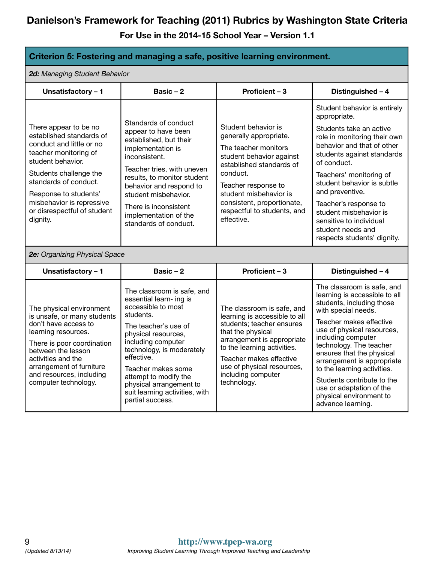**For Use in the 2014-15 School Year – Version 1.1** 

#### **Criterion 5: Fostering and managing a safe, positive learning environment.**

*2d: Managing Student Behavior*

| <b>zu.</b> Managing Student Denavior                                                                                                                                                                                                                                            |                                                                                                                                                                                                                                                                                                                                          |                                                                                                                                                                                                                                                                          |                                                                                                                                                                                                                                                                                                                                                                                                                               |  |
|---------------------------------------------------------------------------------------------------------------------------------------------------------------------------------------------------------------------------------------------------------------------------------|------------------------------------------------------------------------------------------------------------------------------------------------------------------------------------------------------------------------------------------------------------------------------------------------------------------------------------------|--------------------------------------------------------------------------------------------------------------------------------------------------------------------------------------------------------------------------------------------------------------------------|-------------------------------------------------------------------------------------------------------------------------------------------------------------------------------------------------------------------------------------------------------------------------------------------------------------------------------------------------------------------------------------------------------------------------------|--|
| Unsatisfactory - 1                                                                                                                                                                                                                                                              | Basic $-2$                                                                                                                                                                                                                                                                                                                               | Proficient - 3                                                                                                                                                                                                                                                           | Distinguished - 4                                                                                                                                                                                                                                                                                                                                                                                                             |  |
| There appear to be no<br>established standards of<br>conduct and little or no<br>teacher monitoring of<br>student behavior.<br>Students challenge the<br>standards of conduct.<br>Response to students'<br>misbehavior is repressive<br>or disrespectful of student<br>dignity. | Standards of conduct<br>appear to have been<br>established, but their<br>implementation is<br>inconsistent.<br>Teacher tries, with uneven<br>results, to monitor student<br>behavior and respond to<br>student misbehavior.<br>There is inconsistent<br>implementation of the<br>standards of conduct.                                   | Student behavior is<br>generally appropriate.<br>The teacher monitors<br>student behavior against<br>established standards of<br>conduct.<br>Teacher response to<br>student misbehavior is<br>consistent, proportionate,<br>respectful to students, and<br>effective.    | Student behavior is entirely<br>appropriate.<br>Students take an active<br>role in monitoring their own<br>behavior and that of other<br>students against standards<br>of conduct.<br>Teachers' monitoring of<br>student behavior is subtle<br>and preventive.<br>Teacher's response to<br>student misbehavior is<br>sensitive to individual<br>student needs and<br>respects students' dignity.                              |  |
| 2e: Organizing Physical Space                                                                                                                                                                                                                                                   |                                                                                                                                                                                                                                                                                                                                          |                                                                                                                                                                                                                                                                          |                                                                                                                                                                                                                                                                                                                                                                                                                               |  |
| Unsatisfactory - 1                                                                                                                                                                                                                                                              | Basic $-2$                                                                                                                                                                                                                                                                                                                               | <b>Proficient - 3</b>                                                                                                                                                                                                                                                    | Distinguished - 4                                                                                                                                                                                                                                                                                                                                                                                                             |  |
| The physical environment<br>is unsafe, or many students<br>don't have access to<br>learning resources.<br>There is poor coordination<br>between the lesson<br>activities and the<br>arrangement of furniture<br>and resources, including<br>computer technology.                | The classroom is safe, and<br>essential learn- ing is<br>accessible to most<br>students.<br>The teacher's use of<br>physical resources,<br>including computer<br>technology, is moderately<br>effective.<br>Teacher makes some<br>attempt to modify the<br>physical arrangement to<br>suit learning activities, with<br>partial success. | The classroom is safe, and<br>learning is accessible to all<br>students; teacher ensures<br>that the physical<br>arrangement is appropriate<br>to the learning activities.<br>Teacher makes effective<br>use of physical resources,<br>including computer<br>technology. | The classroom is safe, and<br>learning is accessible to all<br>students, including those<br>with special needs.<br>Teacher makes effective<br>use of physical resources,<br>including computer<br>technology. The teacher<br>ensures that the physical<br>arrangement is appropriate<br>to the learning activities.<br>Students contribute to the<br>use or adaptation of the<br>physical environment to<br>advance learning. |  |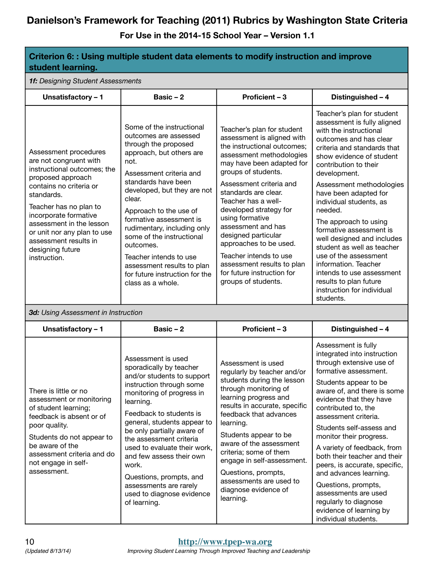| Criterion 6: : Using multiple student data elements to modify instruction and improve<br>student learning.                                                                                                                                                                                                              |                                                                                                                                                                                                                                                                                                                                                                                                                                                        |                                                                                                                                                                                                                                                                                                                                                                                                                                                                                    |                                                                                                                                                                                                                                                                                                                                                                                                                                                                                                                                                                                 |  |
|-------------------------------------------------------------------------------------------------------------------------------------------------------------------------------------------------------------------------------------------------------------------------------------------------------------------------|--------------------------------------------------------------------------------------------------------------------------------------------------------------------------------------------------------------------------------------------------------------------------------------------------------------------------------------------------------------------------------------------------------------------------------------------------------|------------------------------------------------------------------------------------------------------------------------------------------------------------------------------------------------------------------------------------------------------------------------------------------------------------------------------------------------------------------------------------------------------------------------------------------------------------------------------------|---------------------------------------------------------------------------------------------------------------------------------------------------------------------------------------------------------------------------------------------------------------------------------------------------------------------------------------------------------------------------------------------------------------------------------------------------------------------------------------------------------------------------------------------------------------------------------|--|
| 1f: Designing Student Assessments                                                                                                                                                                                                                                                                                       |                                                                                                                                                                                                                                                                                                                                                                                                                                                        |                                                                                                                                                                                                                                                                                                                                                                                                                                                                                    |                                                                                                                                                                                                                                                                                                                                                                                                                                                                                                                                                                                 |  |
| Unsatisfactory - 1                                                                                                                                                                                                                                                                                                      | Basic $-2$                                                                                                                                                                                                                                                                                                                                                                                                                                             | Proficient - 3                                                                                                                                                                                                                                                                                                                                                                                                                                                                     | Distinguished - 4                                                                                                                                                                                                                                                                                                                                                                                                                                                                                                                                                               |  |
| Assessment procedures<br>are not congruent with<br>instructional outcomes; the<br>proposed approach<br>contains no criteria or<br>standards.<br>Teacher has no plan to<br>incorporate formative<br>assessment in the lesson<br>or unit nor any plan to use<br>assessment results in<br>designing future<br>instruction. | Some of the instructional<br>outcomes are assessed<br>through the proposed<br>approach, but others are<br>not.<br>Assessment criteria and<br>standards have been<br>developed, but they are not<br>clear.<br>Approach to the use of<br>formative assessment is<br>rudimentary, including only<br>some of the instructional<br>outcomes.<br>Teacher intends to use<br>assessment results to plan<br>for future instruction for the<br>class as a whole. | Teacher's plan for student<br>assessment is aligned with<br>the instructional outcomes;<br>assessment methodologies<br>may have been adapted for<br>groups of students.<br>Assessment criteria and<br>standards are clear.<br>Teacher has a well-<br>developed strategy for<br>using formative<br>assessment and has<br>designed particular<br>approaches to be used.<br>Teacher intends to use<br>assessment results to plan<br>for future instruction for<br>groups of students. | Teacher's plan for student<br>assessment is fully aligned<br>with the instructional<br>outcomes and has clear<br>criteria and standards that<br>show evidence of student<br>contribution to their<br>development.<br>Assessment methodologies<br>have been adapted for<br>individual students, as<br>needed.<br>The approach to using<br>formative assessment is<br>well designed and includes<br>student as well as teacher<br>use of the assessment<br>information. Teacher<br>intends to use assessment<br>results to plan future<br>instruction for individual<br>students. |  |
| 3d: Using Assessment in Instruction                                                                                                                                                                                                                                                                                     |                                                                                                                                                                                                                                                                                                                                                                                                                                                        |                                                                                                                                                                                                                                                                                                                                                                                                                                                                                    |                                                                                                                                                                                                                                                                                                                                                                                                                                                                                                                                                                                 |  |
| Unsatisfactory - 1                                                                                                                                                                                                                                                                                                      | Basic $-2$                                                                                                                                                                                                                                                                                                                                                                                                                                             | Proficient - 3                                                                                                                                                                                                                                                                                                                                                                                                                                                                     | Distinguished - 4                                                                                                                                                                                                                                                                                                                                                                                                                                                                                                                                                               |  |
| There is little or no<br>assessment or monitoring<br>of student learning;<br>feedback is absent or of<br>poor quality.<br>Students do not appear to<br>be aware of the<br>assessment criteria and do<br>not engage in self-<br>assessment.                                                                              | Assessment is used<br>sporadically by teacher<br>and/or students to support<br>instruction through some<br>monitoring of progress in<br>learning.<br>Feedback to students is<br>general, students appear to<br>be only partially aware of<br>the assessment criteria<br>used to evaluate their work,<br>and few assess their own<br>work.<br>Questions, prompts, and<br>assessments are rarely<br>used to diagnose evidence<br>of learning.            | Assessment is used<br>regularly by teacher and/or<br>students during the lesson<br>through monitoring of<br>learning progress and<br>results in accurate, specific<br>feedback that advances<br>learning.<br>Students appear to be<br>aware of the assessment<br>criteria; some of them<br>engage in self-assessment.<br>Questions, prompts,<br>assessments are used to<br>diagnose evidence of<br>learning.                                                                       | Assessment is fully<br>integrated into instruction<br>through extensive use of<br>formative assessment.<br>Students appear to be<br>aware of, and there is some<br>evidence that they have<br>contributed to, the<br>assessment criteria.<br>Students self-assess and<br>monitor their progress.<br>A variety of feedback, from<br>both their teacher and their<br>peers, is accurate, specific,<br>and advances learning.<br>Questions, prompts,<br>assessments are used<br>regularly to diagnose<br>evidence of learning by<br>individual students.                           |  |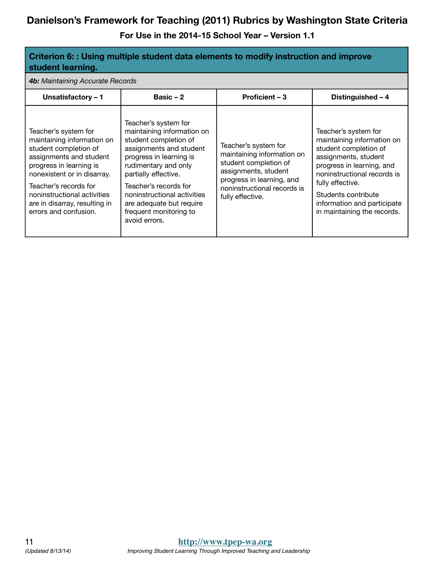| Criterion 6: : Using multiple student data elements to modify instruction and improve<br>student learning.                                                                                                                                                                         |                                                                                                                                                                                                                                                                                                                  |                                                                                                                                                                                     |                                                                                                                                                                                                                                                                          |  |
|------------------------------------------------------------------------------------------------------------------------------------------------------------------------------------------------------------------------------------------------------------------------------------|------------------------------------------------------------------------------------------------------------------------------------------------------------------------------------------------------------------------------------------------------------------------------------------------------------------|-------------------------------------------------------------------------------------------------------------------------------------------------------------------------------------|--------------------------------------------------------------------------------------------------------------------------------------------------------------------------------------------------------------------------------------------------------------------------|--|
| 4b: Maintaining Accurate Records                                                                                                                                                                                                                                                   |                                                                                                                                                                                                                                                                                                                  |                                                                                                                                                                                     |                                                                                                                                                                                                                                                                          |  |
| Unsatisfactory - 1                                                                                                                                                                                                                                                                 | Basic $-2$                                                                                                                                                                                                                                                                                                       | Proficient - 3                                                                                                                                                                      | Distinguished - 4                                                                                                                                                                                                                                                        |  |
| Teacher's system for<br>maintaining information on<br>student completion of<br>assignments and student<br>progress in learning is<br>nonexistent or in disarray.<br>Teacher's records for<br>noninstructional activities<br>are in disarray, resulting in<br>errors and confusion. | Teacher's system for<br>maintaining information on<br>student completion of<br>assignments and student<br>progress in learning is<br>rudimentary and only<br>partially effective.<br>Teacher's records for<br>noninstructional activities<br>are adequate but require<br>frequent monitoring to<br>avoid errors. | Teacher's system for<br>maintaining information on<br>student completion of<br>assignments, student<br>progress in learning, and<br>noninstructional records is<br>fully effective. | Teacher's system for<br>maintaining information on<br>student completion of<br>assignments, student<br>progress in learning, and<br>noninstructional records is<br>fully effective.<br>Students contribute<br>information and participate<br>in maintaining the records. |  |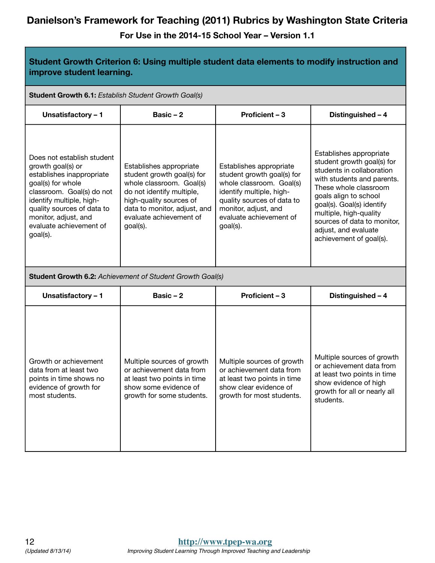| Student Growth Criterion 6: Using multiple student data elements to modify instruction and<br>improve student learning.                                                                                                                                 |                                                                                                                                                                                                                  |                                                                                                                                                                                                            |                                                                                                                                                                                                                                                                                                             |  |
|---------------------------------------------------------------------------------------------------------------------------------------------------------------------------------------------------------------------------------------------------------|------------------------------------------------------------------------------------------------------------------------------------------------------------------------------------------------------------------|------------------------------------------------------------------------------------------------------------------------------------------------------------------------------------------------------------|-------------------------------------------------------------------------------------------------------------------------------------------------------------------------------------------------------------------------------------------------------------------------------------------------------------|--|
|                                                                                                                                                                                                                                                         | Student Growth 6.1: Establish Student Growth Goal(s)                                                                                                                                                             |                                                                                                                                                                                                            |                                                                                                                                                                                                                                                                                                             |  |
| Unsatisfactory - 1                                                                                                                                                                                                                                      | Basic $-2$                                                                                                                                                                                                       | Proficient - 3                                                                                                                                                                                             | Distinguished - 4                                                                                                                                                                                                                                                                                           |  |
| Does not establish student<br>growth goal(s) or<br>establishes inappropriate<br>goal(s) for whole<br>classroom. Goal(s) do not<br>identify multiple, high-<br>quality sources of data to<br>monitor, adjust, and<br>evaluate achievement of<br>goal(s). | Establishes appropriate<br>student growth goal(s) for<br>whole classroom. Goal(s)<br>do not identify multiple,<br>high-quality sources of<br>data to monitor, adjust, and<br>evaluate achievement of<br>goal(s). | Establishes appropriate<br>student growth goal(s) for<br>whole classroom. Goal(s)<br>identify multiple, high-<br>quality sources of data to<br>monitor, adjust, and<br>evaluate achievement of<br>goal(s). | Establishes appropriate<br>student growth goal(s) for<br>students in collaboration<br>with students and parents.<br>These whole classroom<br>goals align to school<br>goal(s). Goal(s) identify<br>multiple, high-quality<br>sources of data to monitor,<br>adjust, and evaluate<br>achievement of goal(s). |  |
| <b>Student Growth 6.2: Achievement of Student Growth Goal(s)</b>                                                                                                                                                                                        |                                                                                                                                                                                                                  |                                                                                                                                                                                                            |                                                                                                                                                                                                                                                                                                             |  |
| Unsatisfactory - 1                                                                                                                                                                                                                                      | Basic $-2$                                                                                                                                                                                                       | Proficient - 3                                                                                                                                                                                             | Distinguished - 4                                                                                                                                                                                                                                                                                           |  |
| Growth or achievement<br>data from at least two<br>points in time shows no<br>evidence of growth for<br>most students.                                                                                                                                  | Multiple sources of growth<br>or achievement data from<br>at least two points in time<br>show some evidence of<br>growth for some students.                                                                      | Multiple sources of growth<br>or achievement data from<br>at least two points in time<br>show clear evidence of<br>growth for most students.                                                               | Multiple sources of growth<br>or achievement data from<br>at least two points in time<br>show evidence of high<br>growth for all or nearly all<br>students.                                                                                                                                                 |  |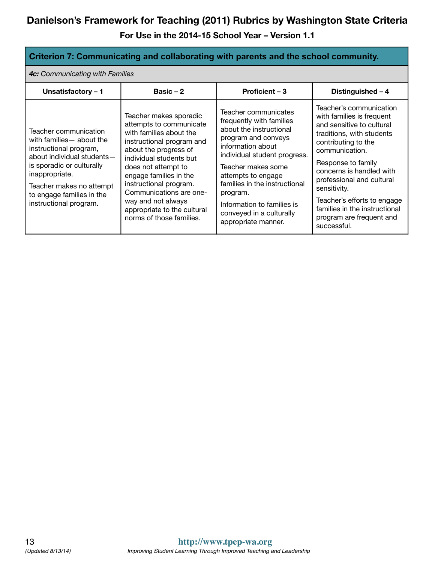**For Use in the 2014-15 School Year – Version 1.1** 

#### **Criterion 7: Communicating and collaborating with parents and the school community.**

*4c: Communicating with Families*

| Unsatisfactory - 1                                                                                                                                                                                                                           | Basic $-2$                                                                                                                                                                                                                                                                                                                                           | Proficient – 3                                                                                                                                                                                                                                                                                                                    | Distinguished - 4                                                                                                                                                                                                                                                                                                                                                 |
|----------------------------------------------------------------------------------------------------------------------------------------------------------------------------------------------------------------------------------------------|------------------------------------------------------------------------------------------------------------------------------------------------------------------------------------------------------------------------------------------------------------------------------------------------------------------------------------------------------|-----------------------------------------------------------------------------------------------------------------------------------------------------------------------------------------------------------------------------------------------------------------------------------------------------------------------------------|-------------------------------------------------------------------------------------------------------------------------------------------------------------------------------------------------------------------------------------------------------------------------------------------------------------------------------------------------------------------|
| Teacher communication<br>with families - about the<br>instructional program,<br>about individual students-<br>is sporadic or culturally<br>inappropriate.<br>Teacher makes no attempt<br>to engage families in the<br>instructional program. | Teacher makes sporadic<br>attempts to communicate<br>with families about the<br>instructional program and<br>about the progress of<br>individual students but<br>does not attempt to<br>engage families in the<br>instructional program.<br>Communications are one-<br>way and not always<br>appropriate to the cultural<br>norms of those families. | Teacher communicates<br>frequently with families<br>about the instructional<br>program and conveys<br>information about<br>individual student progress.<br>Teacher makes some<br>attempts to engage<br>families in the instructional<br>program.<br>Information to families is<br>conveyed in a culturally<br>appropriate manner. | Teacher's communication<br>with families is frequent<br>and sensitive to cultural<br>traditions, with students<br>contributing to the<br>communication.<br>Response to family<br>concerns is handled with<br>professional and cultural<br>sensitivity.<br>Teacher's efforts to engage<br>families in the instructional<br>program are frequent and<br>successful. |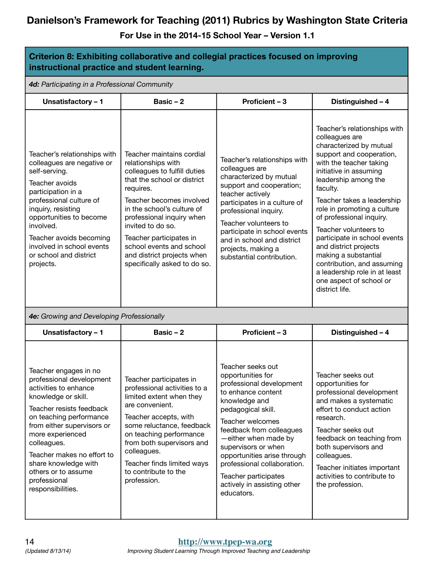| Criterion 8: Exhibiting collaborative and collegial practices focused on improving<br>instructional practice and student learning.                                                                                                                                                                                                          |                                                                                                                                                                                                                                                                                                                                                              |                                                                                                                                                                                                                                                                                                                                                                   |                                                                                                                                                                                                                                                                                                                                                                                                                                                                                                               |
|---------------------------------------------------------------------------------------------------------------------------------------------------------------------------------------------------------------------------------------------------------------------------------------------------------------------------------------------|--------------------------------------------------------------------------------------------------------------------------------------------------------------------------------------------------------------------------------------------------------------------------------------------------------------------------------------------------------------|-------------------------------------------------------------------------------------------------------------------------------------------------------------------------------------------------------------------------------------------------------------------------------------------------------------------------------------------------------------------|---------------------------------------------------------------------------------------------------------------------------------------------------------------------------------------------------------------------------------------------------------------------------------------------------------------------------------------------------------------------------------------------------------------------------------------------------------------------------------------------------------------|
| 4d: Participating in a Professional Community                                                                                                                                                                                                                                                                                               |                                                                                                                                                                                                                                                                                                                                                              |                                                                                                                                                                                                                                                                                                                                                                   |                                                                                                                                                                                                                                                                                                                                                                                                                                                                                                               |
| Unsatisfactory - 1                                                                                                                                                                                                                                                                                                                          | Basic $-2$                                                                                                                                                                                                                                                                                                                                                   | Proficient - 3                                                                                                                                                                                                                                                                                                                                                    | Distinguished - 4                                                                                                                                                                                                                                                                                                                                                                                                                                                                                             |
| Teacher's relationships with<br>colleagues are negative or<br>self-serving.<br>Teacher avoids<br>participation in a<br>professional culture of<br>inquiry, resisting<br>opportunities to become<br>involved.<br>Teacher avoids becoming<br>involved in school events<br>or school and district<br>projects.                                 | Teacher maintains cordial<br>relationships with<br>colleagues to fulfill duties<br>that the school or district<br>requires.<br>Teacher becomes involved<br>in the school's culture of<br>professional inquiry when<br>invited to do so.<br>Teacher participates in<br>school events and school<br>and district projects when<br>specifically asked to do so. | Teacher's relationships with<br>colleagues are<br>characterized by mutual<br>support and cooperation;<br>teacher actively<br>participates in a culture of<br>professional inquiry.<br>Teacher volunteers to<br>participate in school events<br>and in school and district<br>projects, making a<br>substantial contribution.                                      | Teacher's relationships with<br>colleagues are<br>characterized by mutual<br>support and cooperation,<br>with the teacher taking<br>initiative in assuming<br>leadership among the<br>faculty.<br>Teacher takes a leadership<br>role in promoting a culture<br>of professional inquiry.<br>Teacher volunteers to<br>participate in school events<br>and district projects<br>making a substantial<br>contribution, and assuming<br>a leadership role in at least<br>one aspect of school or<br>district life. |
| 4e: Growing and Developing Professionally                                                                                                                                                                                                                                                                                                   |                                                                                                                                                                                                                                                                                                                                                              |                                                                                                                                                                                                                                                                                                                                                                   |                                                                                                                                                                                                                                                                                                                                                                                                                                                                                                               |
| Unsatisfactory - 1                                                                                                                                                                                                                                                                                                                          | Basic $-2$                                                                                                                                                                                                                                                                                                                                                   | Proficient - 3                                                                                                                                                                                                                                                                                                                                                    | Distinguished - 4                                                                                                                                                                                                                                                                                                                                                                                                                                                                                             |
| Teacher engages in no<br>professional development<br>activities to enhance<br>knowledge or skill.<br>Teacher resists feedback<br>on teaching performance<br>from either supervisors or<br>more experienced<br>colleagues.<br>Teacher makes no effort to<br>share knowledge with<br>others or to assume<br>professional<br>responsibilities. | Teacher participates in<br>professional activities to a<br>limited extent when they<br>are convenient.<br>Teacher accepts, with<br>some reluctance, feedback<br>on teaching performance<br>from both supervisors and<br>colleagues.<br>Teacher finds limited ways<br>to contribute to the<br>profession.                                                     | Teacher seeks out<br>opportunities for<br>professional development<br>to enhance content<br>knowledge and<br>pedagogical skill.<br>Teacher welcomes<br>feedback from colleagues<br>-either when made by<br>supervisors or when<br>opportunities arise through<br>professional collaboration.<br>Teacher participates<br>actively in assisting other<br>educators. | Teacher seeks out<br>opportunities for<br>professional development<br>and makes a systematic<br>effort to conduct action<br>research.<br>Teacher seeks out<br>feedback on teaching from<br>both supervisors and<br>colleagues.<br>Teacher initiates important<br>activities to contribute to<br>the profession.                                                                                                                                                                                               |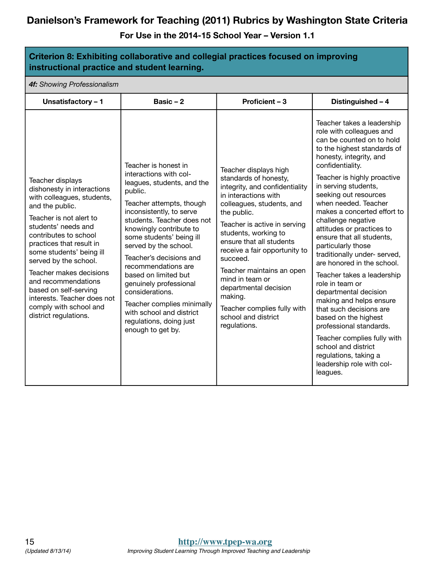| Criterion 8: Exhibiting collaborative and collegial practices focused on improving<br>instructional practice and student learning.                                                                                                                                                                                                                                                                                       |                                                                                                                                                                                                                                                                                                                                                                                                                                                                                                |                                                                                                                                                                                                                                                                                                                                                                                                                                                 |                                                                                                                                                                                                                                                                                                                                                                                                                                                                                                                                                                                                                                                                                                                                                                                         |
|--------------------------------------------------------------------------------------------------------------------------------------------------------------------------------------------------------------------------------------------------------------------------------------------------------------------------------------------------------------------------------------------------------------------------|------------------------------------------------------------------------------------------------------------------------------------------------------------------------------------------------------------------------------------------------------------------------------------------------------------------------------------------------------------------------------------------------------------------------------------------------------------------------------------------------|-------------------------------------------------------------------------------------------------------------------------------------------------------------------------------------------------------------------------------------------------------------------------------------------------------------------------------------------------------------------------------------------------------------------------------------------------|-----------------------------------------------------------------------------------------------------------------------------------------------------------------------------------------------------------------------------------------------------------------------------------------------------------------------------------------------------------------------------------------------------------------------------------------------------------------------------------------------------------------------------------------------------------------------------------------------------------------------------------------------------------------------------------------------------------------------------------------------------------------------------------------|
| 4f: Showing Professionalism                                                                                                                                                                                                                                                                                                                                                                                              |                                                                                                                                                                                                                                                                                                                                                                                                                                                                                                |                                                                                                                                                                                                                                                                                                                                                                                                                                                 |                                                                                                                                                                                                                                                                                                                                                                                                                                                                                                                                                                                                                                                                                                                                                                                         |
| Unsatisfactory - 1                                                                                                                                                                                                                                                                                                                                                                                                       | Basic $-2$                                                                                                                                                                                                                                                                                                                                                                                                                                                                                     | Proficient - 3                                                                                                                                                                                                                                                                                                                                                                                                                                  | Distinguished - 4                                                                                                                                                                                                                                                                                                                                                                                                                                                                                                                                                                                                                                                                                                                                                                       |
| Teacher displays<br>dishonesty in interactions<br>with colleagues, students,<br>and the public.<br>Teacher is not alert to<br>students' needs and<br>contributes to school<br>practices that result in<br>some students' being ill<br>served by the school.<br>Teacher makes decisions<br>and recommendations<br>based on self-serving<br>interests. Teacher does not<br>comply with school and<br>district regulations. | Teacher is honest in<br>interactions with col-<br>leagues, students, and the<br>public.<br>Teacher attempts, though<br>inconsistently, to serve<br>students. Teacher does not<br>knowingly contribute to<br>some students' being ill<br>served by the school.<br>Teacher's decisions and<br>recommendations are<br>based on limited but<br>genuinely professional<br>considerations.<br>Teacher complies minimally<br>with school and district<br>regulations, doing just<br>enough to get by. | Teacher displays high<br>standards of honesty,<br>integrity, and confidentiality<br>in interactions with<br>colleagues, students, and<br>the public.<br>Teacher is active in serving<br>students, working to<br>ensure that all students<br>receive a fair opportunity to<br>succeed.<br>Teacher maintains an open<br>mind in team or<br>departmental decision<br>making.<br>Teacher complies fully with<br>school and district<br>regulations. | Teacher takes a leadership<br>role with colleagues and<br>can be counted on to hold<br>to the highest standards of<br>honesty, integrity, and<br>confidentiality.<br>Teacher is highly proactive<br>in serving students,<br>seeking out resources<br>when needed. Teacher<br>makes a concerted effort to<br>challenge negative<br>attitudes or practices to<br>ensure that all students,<br>particularly those<br>traditionally under- served,<br>are honored in the school.<br>Teacher takes a leadership<br>role in team or<br>departmental decision<br>making and helps ensure<br>that such decisions are<br>based on the highest<br>professional standards.<br>Teacher complies fully with<br>school and district<br>regulations, taking a<br>leadership role with col-<br>leagues. |